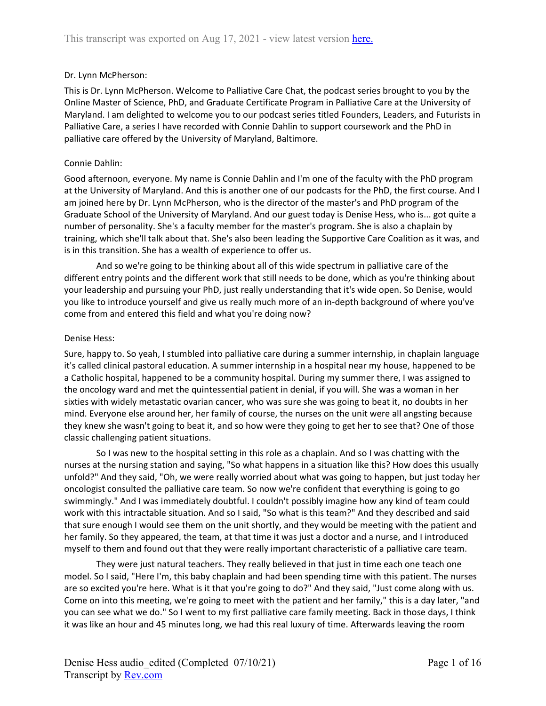### Dr. Lynn McPherson:

This is Dr. Lynn McPherson. Welcome to Palliative Care Chat, the podcast series brought to you by the Online Master of Science, PhD, and Graduate Certificate Program in Palliative Care at the University of Maryland. I am delighted to welcome you to our podcast series titled Founders, Leaders, and Futurists in Palliative Care, a series I have recorded with Connie Dahlin to support coursework and the PhD in palliative care offered by the University of Maryland, Baltimore.

### Connie Dahlin:

Good afternoon, everyone. My name is Connie Dahlin and I'm one of the faculty with the PhD program at the University of Maryland. And this is another one of our podcasts for the PhD, the first course. And I am joined here by Dr. Lynn McPherson, who is the director of the master's and PhD program of the Graduate School of the University of Maryland. And our guest today is Denise Hess, who is... got quite a number of personality. She's a faculty member for the master's program. She is also a chaplain by training, which she'll talk about that. She's also been leading the Supportive Care Coalition as it was, and is in this transition. She has a wealth of experience to offer us.

And so we're going to be thinking about all of this wide spectrum in palliative care of the different entry points and the different work that still needs to be done, which as you're thinking about your leadership and pursuing your PhD, just really understanding that it's wide open. So Denise, would you like to introduce yourself and give us really much more of an in-depth background of where you've come from and entered this field and what you're doing now?

### Denise Hess:

Sure, happy to. So yeah, I stumbled into palliative care during a summer internship, in chaplain language it's called clinical pastoral education. A summer internship in a hospital near my house, happened to be a Catholic hospital, happened to be a community hospital. During my summer there, I was assigned to the oncology ward and met the quintessential patient in denial, if you will. She was a woman in her sixties with widely metastatic ovarian cancer, who was sure she was going to beat it, no doubts in her mind. Everyone else around her, her family of course, the nurses on the unit were all angsting because they knew she wasn't going to beat it, and so how were they going to get her to see that? One of those classic challenging patient situations.

So I was new to the hospital setting in this role as a chaplain. And so I was chatting with the nurses at the nursing station and saying, "So what happens in a situation like this? How does this usually unfold?" And they said, "Oh, we were really worried about what was going to happen, but just today her oncologist consulted the palliative care team. So now we're confident that everything is going to go swimmingly." And I was immediately doubtful. I couldn't possibly imagine how any kind of team could work with this intractable situation. And so I said, "So what is this team?" And they described and said that sure enough I would see them on the unit shortly, and they would be meeting with the patient and her family. So they appeared, the team, at that time it was just a doctor and a nurse, and I introduced myself to them and found out that they were really important characteristic of a palliative care team.

They were just natural teachers. They really believed in that just in time each one teach one model. So I said, "Here I'm, this baby chaplain and had been spending time with this patient. The nurses are so excited you're here. What is it that you're going to do?" And they said, "Just come along with us. Come on into this meeting, we're going to meet with the patient and her family," this is a day later, "and you can see what we do." So I went to my first palliative care family meeting. Back in those days, I think it was like an hour and 45 minutes long, we had this real luxury of time. Afterwards leaving the room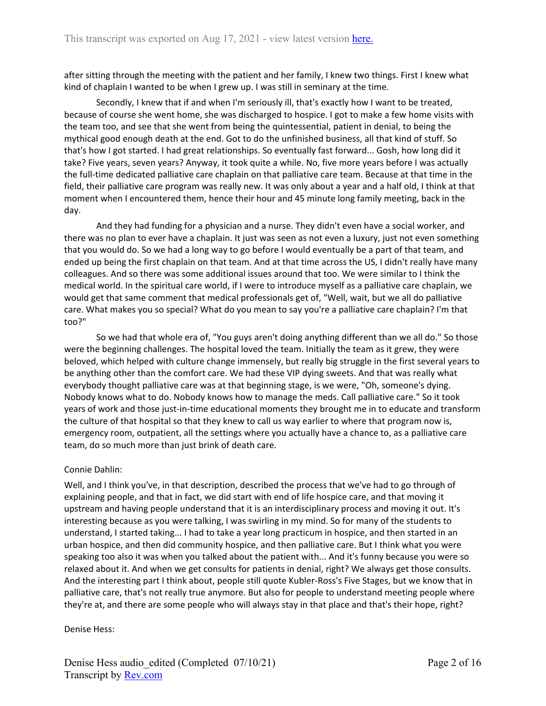after sitting through the meeting with the patient and her family, I knew two things. First I knew what kind of chaplain I wanted to be when I grew up. I was still in seminary at the time.

Secondly, I knew that if and when I'm seriously ill, that's exactly how I want to be treated, because of course she went home, she was discharged to hospice. I got to make a few home visits with the team too, and see that she went from being the quintessential, patient in denial, to being the mythical good enough death at the end. Got to do the unfinished business, all that kind of stuff. So that's how I got started. I had great relationships. So eventually fast forward... Gosh, how long did it take? Five years, seven years? Anyway, it took quite a while. No, five more years before I was actually the full-time dedicated palliative care chaplain on that palliative care team. Because at that time in the field, their palliative care program was really new. It was only about a year and a half old, I think at that moment when I encountered them, hence their hour and 45 minute long family meeting, back in the day.

And they had funding for a physician and a nurse. They didn't even have a social worker, and there was no plan to ever have a chaplain. It just was seen as not even a luxury, just not even something that you would do. So we had a long way to go before I would eventually be a part of that team, and ended up being the first chaplain on that team. And at that time across the US, I didn't really have many colleagues. And so there was some additional issues around that too. We were similar to I think the medical world. In the spiritual care world, if I were to introduce myself as a palliative care chaplain, we would get that same comment that medical professionals get of, "Well, wait, but we all do palliative care. What makes you so special? What do you mean to say you're a palliative care chaplain? I'm that too?"

So we had that whole era of, "You guys aren't doing anything different than we all do." So those were the beginning challenges. The hospital loved the team. Initially the team as it grew, they were beloved, which helped with culture change immensely, but really big struggle in the first several years to be anything other than the comfort care. We had these VIP dying sweets. And that was really what everybody thought palliative care was at that beginning stage, is we were, "Oh, someone's dying. Nobody knows what to do. Nobody knows how to manage the meds. Call palliative care." So it took years of work and those just-in-time educational moments they brought me in to educate and transform the culture of that hospital so that they knew to call us way earlier to where that program now is, emergency room, outpatient, all the settings where you actually have a chance to, as a palliative care team, do so much more than just brink of death care.

#### Connie Dahlin:

Well, and I think you've, in that description, described the process that we've had to go through of explaining people, and that in fact, we did start with end of life hospice care, and that moving it upstream and having people understand that it is an interdisciplinary process and moving it out. It's interesting because as you were talking, I was swirling in my mind. So for many of the students to understand, I started taking... I had to take a year long practicum in hospice, and then started in an urban hospice, and then did community hospice, and then palliative care. But I think what you were speaking too also it was when you talked about the patient with... And it's funny because you were so relaxed about it. And when we get consults for patients in denial, right? We always get those consults. And the interesting part I think about, people still quote Kubler-Ross's Five Stages, but we know that in palliative care, that's not really true anymore. But also for people to understand meeting people where they're at, and there are some people who will always stay in that place and that's their hope, right?

#### Denise Hess: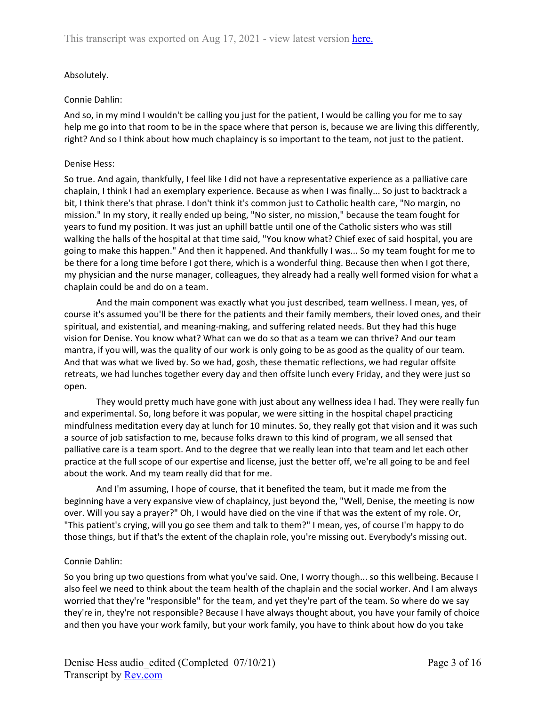## Absolutely.

### Connie Dahlin:

And so, in my mind I wouldn't be calling you just for the patient, I would be calling you for me to say help me go into that room to be in the space where that person is, because we are living this differently, right? And so I think about how much chaplaincy is so important to the team, not just to the patient.

#### Denise Hess:

So true. And again, thankfully, I feel like I did not have a representative experience as a palliative care chaplain, I think I had an exemplary experience. Because as when I was finally... So just to backtrack a bit, I think there's that phrase. I don't think it's common just to Catholic health care, "No margin, no mission." In my story, it really ended up being, "No sister, no mission," because the team fought for years to fund my position. It was just an uphill battle until one of the Catholic sisters who was still walking the halls of the hospital at that time said, "You know what? Chief exec of said hospital, you are going to make this happen." And then it happened. And thankfully I was... So my team fought for me to be there for a long time before I got there, which is a wonderful thing. Because then when I got there, my physician and the nurse manager, colleagues, they already had a really well formed vision for what a chaplain could be and do on a team.

And the main component was exactly what you just described, team wellness. I mean, yes, of course it's assumed you'll be there for the patients and their family members, their loved ones, and their spiritual, and existential, and meaning-making, and suffering related needs. But they had this huge vision for Denise. You know what? What can we do so that as a team we can thrive? And our team mantra, if you will, was the quality of our work is only going to be as good as the quality of our team. And that was what we lived by. So we had, gosh, these thematic reflections, we had regular offsite retreats, we had lunches together every day and then offsite lunch every Friday, and they were just so open.

They would pretty much have gone with just about any wellness idea I had. They were really fun and experimental. So, long before it was popular, we were sitting in the hospital chapel practicing mindfulness meditation every day at lunch for 10 minutes. So, they really got that vision and it was such a source of job satisfaction to me, because folks drawn to this kind of program, we all sensed that palliative care is a team sport. And to the degree that we really lean into that team and let each other practice at the full scope of our expertise and license, just the better off, we're all going to be and feel about the work. And my team really did that for me.

And I'm assuming, I hope of course, that it benefited the team, but it made me from the beginning have a very expansive view of chaplaincy, just beyond the, "Well, Denise, the meeting is now over. Will you say a prayer?" Oh, I would have died on the vine if that was the extent of my role. Or, "This patient's crying, will you go see them and talk to them?" I mean, yes, of course I'm happy to do those things, but if that's the extent of the chaplain role, you're missing out. Everybody's missing out.

#### Connie Dahlin:

So you bring up two questions from what you've said. One, I worry though... so this wellbeing. Because I also feel we need to think about the team health of the chaplain and the social worker. And I am always worried that they're "responsible" for the team, and yet they're part of the team. So where do we say they're in, they're not responsible? Because I have always thought about, you have your family of choice and then you have your work family, but your work family, you have to think about how do you take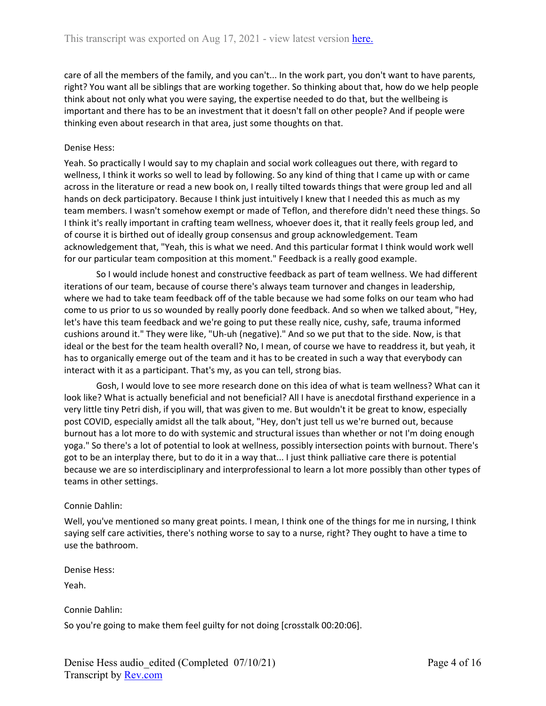care of all the members of the family, and you can't... In the work part, you don't want to have parents, right? You want all be siblings that are working together. So thinking about that, how do we help people think about not only what you were saying, the expertise needed to do that, but the wellbeing is important and there has to be an investment that it doesn't fall on other people? And if people were thinking even about research in that area, just some thoughts on that.

#### Denise Hess:

Yeah. So practically I would say to my chaplain and social work colleagues out there, with regard to wellness, I think it works so well to lead by following. So any kind of thing that I came up with or came across in the literature or read a new book on, I really tilted towards things that were group led and all hands on deck participatory. Because I think just intuitively I knew that I needed this as much as my team members. I wasn't somehow exempt or made of Teflon, and therefore didn't need these things. So I think it's really important in crafting team wellness, whoever does it, that it really feels group led, and of course it is birthed out of ideally group consensus and group acknowledgement. Team acknowledgement that, "Yeah, this is what we need. And this particular format I think would work well for our particular team composition at this moment." Feedback is a really good example.

So I would include honest and constructive feedback as part of team wellness. We had different iterations of our team, because of course there's always team turnover and changes in leadership, where we had to take team feedback off of the table because we had some folks on our team who had come to us prior to us so wounded by really poorly done feedback. And so when we talked about, "Hey, let's have this team feedback and we're going to put these really nice, cushy, safe, trauma informed cushions around it." They were like, "Uh-uh (negative)." And so we put that to the side. Now, is that ideal or the best for the team health overall? No, I mean, of course we have to readdress it, but yeah, it has to organically emerge out of the team and it has to be created in such a way that everybody can interact with it as a participant. That's my, as you can tell, strong bias.

Gosh, I would love to see more research done on this idea of what is team wellness? What can it look like? What is actually beneficial and not beneficial? All I have is anecdotal firsthand experience in a very little tiny Petri dish, if you will, that was given to me. But wouldn't it be great to know, especially post COVID, especially amidst all the talk about, "Hey, don't just tell us we're burned out, because burnout has a lot more to do with systemic and structural issues than whether or not I'm doing enough yoga." So there's a lot of potential to look at wellness, possibly intersection points with burnout. There's got to be an interplay there, but to do it in a way that... I just think palliative care there is potential because we are so interdisciplinary and interprofessional to learn a lot more possibly than other types of teams in other settings.

#### Connie Dahlin:

Well, you've mentioned so many great points. I mean, I think one of the things for me in nursing, I think saying self care activities, there's nothing worse to say to a nurse, right? They ought to have a time to use the bathroom.

Denise Hess:

Yeah.

Connie Dahlin:

So you're going to make them feel guilty for not doing [crosstalk 00:20:06].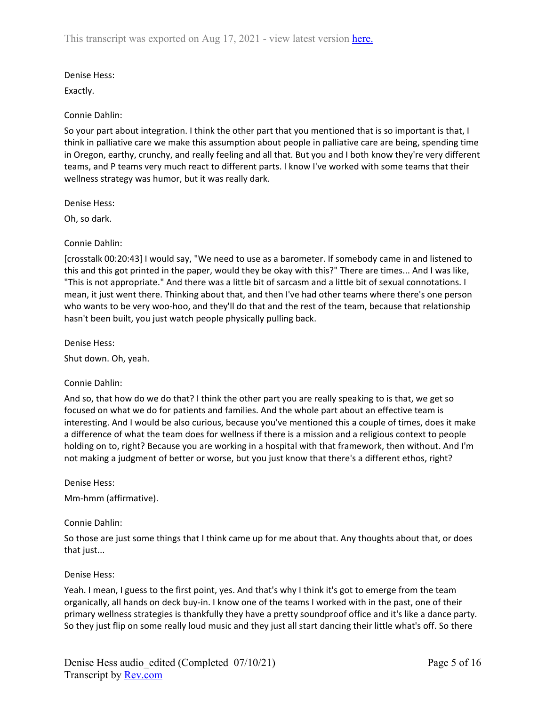# Denise Hess:

Exactly.

# Connie Dahlin:

So your part about integration. I think the other part that you mentioned that is so important is that, I think in palliative care we make this assumption about people in palliative care are being, spending time in Oregon, earthy, crunchy, and really feeling and all that. But you and I both know they're very different teams, and P teams very much react to different parts. I know I've worked with some teams that their wellness strategy was humor, but it was really dark.

Denise Hess:

Oh, so dark.

Connie Dahlin:

[crosstalk 00:20:43] I would say, "We need to use as a barometer. If somebody came in and listened to this and this got printed in the paper, would they be okay with this?" There are times... And I was like, "This is not appropriate." And there was a little bit of sarcasm and a little bit of sexual connotations. I mean, it just went there. Thinking about that, and then I've had other teams where there's one person who wants to be very woo-hoo, and they'll do that and the rest of the team, because that relationship hasn't been built, you just watch people physically pulling back.

Denise Hess:

Shut down. Oh, yeah.

# Connie Dahlin:

And so, that how do we do that? I think the other part you are really speaking to is that, we get so focused on what we do for patients and families. And the whole part about an effective team is interesting. And I would be also curious, because you've mentioned this a couple of times, does it make a difference of what the team does for wellness if there is a mission and a religious context to people holding on to, right? Because you are working in a hospital with that framework, then without. And I'm not making a judgment of better or worse, but you just know that there's a different ethos, right?

Denise Hess:

Mm-hmm (affirmative).

# Connie Dahlin:

So those are just some things that I think came up for me about that. Any thoughts about that, or does that just...

# Denise Hess:

Yeah. I mean, I guess to the first point, yes. And that's why I think it's got to emerge from the team organically, all hands on deck buy-in. I know one of the teams I worked with in the past, one of their primary wellness strategies is thankfully they have a pretty soundproof office and it's like a dance party. So they just flip on some really loud music and they just all start dancing their little what's off. So there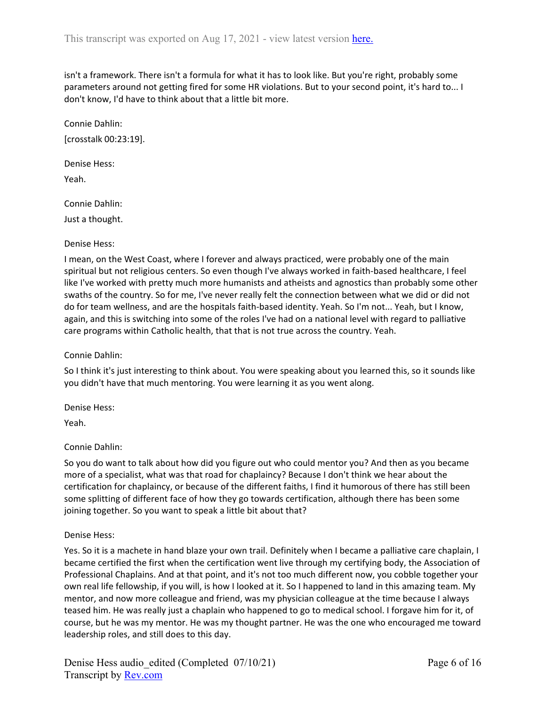isn't a framework. There isn't a formula for what it has to look like. But you're right, probably some parameters around not getting fired for some HR violations. But to your second point, it's hard to... I don't know, I'd have to think about that a little bit more.

Connie Dahlin: [crosstalk 00:23:19].

Denise Hess: Yeah.

Connie Dahlin: Just a thought.

### Denise Hess:

I mean, on the West Coast, where I forever and always practiced, were probably one of the main spiritual but not religious centers. So even though I've always worked in faith-based healthcare, I feel like I've worked with pretty much more humanists and atheists and agnostics than probably some other swaths of the country. So for me, I've never really felt the connection between what we did or did not do for team wellness, and are the hospitals faith-based identity. Yeah. So I'm not... Yeah, but I know, again, and this is switching into some of the roles I've had on a national level with regard to palliative care programs within Catholic health, that that is not true across the country. Yeah.

### Connie Dahlin:

So I think it's just interesting to think about. You were speaking about you learned this, so it sounds like you didn't have that much mentoring. You were learning it as you went along.

Denise Hess:

Yeah.

# Connie Dahlin:

So you do want to talk about how did you figure out who could mentor you? And then as you became more of a specialist, what was that road for chaplaincy? Because I don't think we hear about the certification for chaplaincy, or because of the different faiths, I find it humorous of there has still been some splitting of different face of how they go towards certification, although there has been some joining together. So you want to speak a little bit about that?

#### Denise Hess:

Yes. So it is a machete in hand blaze your own trail. Definitely when I became a palliative care chaplain, I became certified the first when the certification went live through my certifying body, the Association of Professional Chaplains. And at that point, and it's not too much different now, you cobble together your own real life fellowship, if you will, is how I looked at it. So I happened to land in this amazing team. My mentor, and now more colleague and friend, was my physician colleague at the time because I always teased him. He was really just a chaplain who happened to go to medical school. I forgave him for it, of course, but he was my mentor. He was my thought partner. He was the one who encouraged me toward leadership roles, and still does to this day.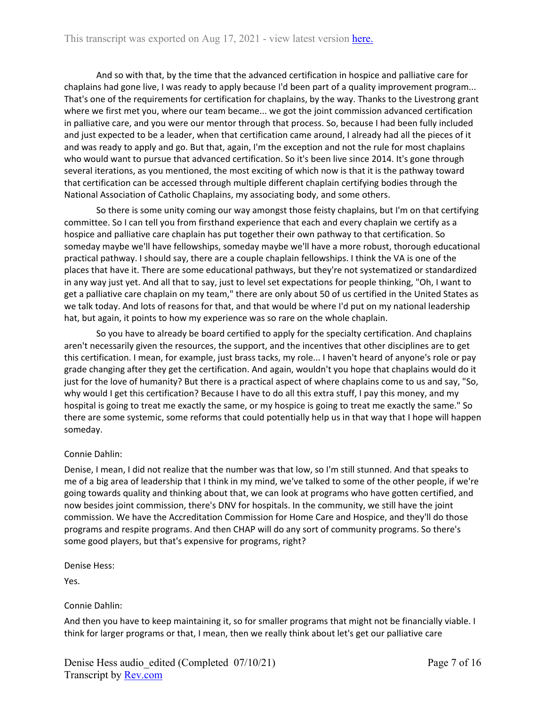And so with that, by the time that the advanced certification in hospice and palliative care for chaplains had gone live, I was ready to apply because I'd been part of a quality improvement program... That's one of the requirements for certification for chaplains, by the way. Thanks to the Livestrong grant where we first met you, where our team became... we got the joint commission advanced certification in palliative care, and you were our mentor through that process. So, because I had been fully included and just expected to be a leader, when that certification came around, I already had all the pieces of it and was ready to apply and go. But that, again, I'm the exception and not the rule for most chaplains who would want to pursue that advanced certification. So it's been live since 2014. It's gone through several iterations, as you mentioned, the most exciting of which now is that it is the pathway toward that certification can be accessed through multiple different chaplain certifying bodies through the National Association of Catholic Chaplains, my associating body, and some others.

So there is some unity coming our way amongst those feisty chaplains, but I'm on that certifying committee. So I can tell you from firsthand experience that each and every chaplain we certify as a hospice and palliative care chaplain has put together their own pathway to that certification. So someday maybe we'll have fellowships, someday maybe we'll have a more robust, thorough educational practical pathway. I should say, there are a couple chaplain fellowships. I think the VA is one of the places that have it. There are some educational pathways, but they're not systematized or standardized in any way just yet. And all that to say, just to level set expectations for people thinking, "Oh, I want to get a palliative care chaplain on my team," there are only about 50 of us certified in the United States as we talk today. And lots of reasons for that, and that would be where I'd put on my national leadership hat, but again, it points to how my experience was so rare on the whole chaplain.

So you have to already be board certified to apply for the specialty certification. And chaplains aren't necessarily given the resources, the support, and the incentives that other disciplines are to get this certification. I mean, for example, just brass tacks, my role... I haven't heard of anyone's role or pay grade changing after they get the certification. And again, wouldn't you hope that chaplains would do it just for the love of humanity? But there is a practical aspect of where chaplains come to us and say, "So, why would I get this certification? Because I have to do all this extra stuff, I pay this money, and my hospital is going to treat me exactly the same, or my hospice is going to treat me exactly the same." So there are some systemic, some reforms that could potentially help us in that way that I hope will happen someday.

# Connie Dahlin:

Denise, I mean, I did not realize that the number was that low, so I'm still stunned. And that speaks to me of a big area of leadership that I think in my mind, we've talked to some of the other people, if we're going towards quality and thinking about that, we can look at programs who have gotten certified, and now besides joint commission, there's DNV for hospitals. In the community, we still have the joint commission. We have the Accreditation Commission for Home Care and Hospice, and they'll do those programs and respite programs. And then CHAP will do any sort of community programs. So there's some good players, but that's expensive for programs, right?

Denise Hess:

Yes.

# Connie Dahlin:

And then you have to keep maintaining it, so for smaller programs that might not be financially viable. I think for larger programs or that, I mean, then we really think about let's get our palliative care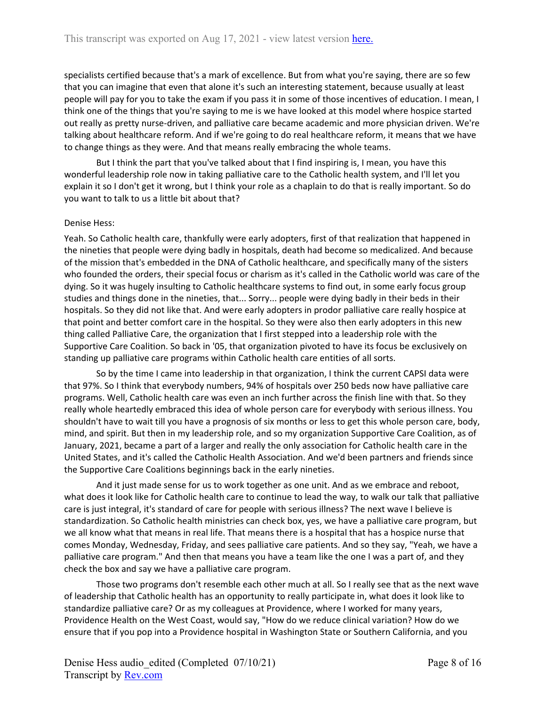specialists certified because that's a mark of excellence. But from what you're saying, there are so few that you can imagine that even that alone it's such an interesting statement, because usually at least people will pay for you to take the exam if you pass it in some of those incentives of education. I mean, I think one of the things that you're saying to me is we have looked at this model where hospice started out really as pretty nurse-driven, and palliative care became academic and more physician driven. We're talking about healthcare reform. And if we're going to do real healthcare reform, it means that we have to change things as they were. And that means really embracing the whole teams.

But I think the part that you've talked about that I find inspiring is, I mean, you have this wonderful leadership role now in taking palliative care to the Catholic health system, and I'll let you explain it so I don't get it wrong, but I think your role as a chaplain to do that is really important. So do you want to talk to us a little bit about that?

#### Denise Hess:

Yeah. So Catholic health care, thankfully were early adopters, first of that realization that happened in the nineties that people were dying badly in hospitals, death had become so medicalized. And because of the mission that's embedded in the DNA of Catholic healthcare, and specifically many of the sisters who founded the orders, their special focus or charism as it's called in the Catholic world was care of the dying. So it was hugely insulting to Catholic healthcare systems to find out, in some early focus group studies and things done in the nineties, that... Sorry... people were dying badly in their beds in their hospitals. So they did not like that. And were early adopters in prodor palliative care really hospice at that point and better comfort care in the hospital. So they were also then early adopters in this new thing called Palliative Care, the organization that I first stepped into a leadership role with the Supportive Care Coalition. So back in '05, that organization pivoted to have its focus be exclusively on standing up palliative care programs within Catholic health care entities of all sorts.

So by the time I came into leadership in that organization, I think the current CAPSI data were that 97%. So I think that everybody numbers, 94% of hospitals over 250 beds now have palliative care programs. Well, Catholic health care was even an inch further across the finish line with that. So they really whole heartedly embraced this idea of whole person care for everybody with serious illness. You shouldn't have to wait till you have a prognosis of six months or less to get this whole person care, body, mind, and spirit. But then in my leadership role, and so my organization Supportive Care Coalition, as of January, 2021, became a part of a larger and really the only association for Catholic health care in the United States, and it's called the Catholic Health Association. And we'd been partners and friends since the Supportive Care Coalitions beginnings back in the early nineties.

And it just made sense for us to work together as one unit. And as we embrace and reboot, what does it look like for Catholic health care to continue to lead the way, to walk our talk that palliative care is just integral, it's standard of care for people with serious illness? The next wave I believe is standardization. So Catholic health ministries can check box, yes, we have a palliative care program, but we all know what that means in real life. That means there is a hospital that has a hospice nurse that comes Monday, Wednesday, Friday, and sees palliative care patients. And so they say, "Yeah, we have a palliative care program." And then that means you have a team like the one I was a part of, and they check the box and say we have a palliative care program.

Those two programs don't resemble each other much at all. So I really see that as the next wave of leadership that Catholic health has an opportunity to really participate in, what does it look like to standardize palliative care? Or as my colleagues at Providence, where I worked for many years, Providence Health on the West Coast, would say, "How do we reduce clinical variation? How do we ensure that if you pop into a Providence hospital in Washington State or Southern California, and you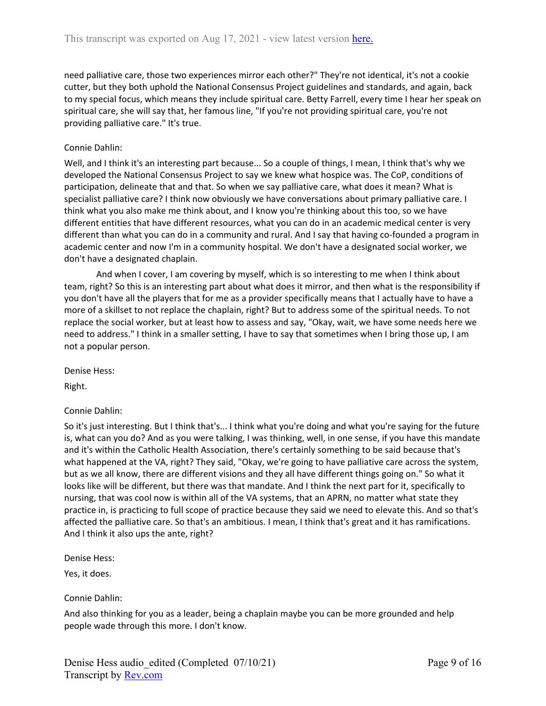need palliative care, those two experiences mirror each other?" They're not identical, it's not a cookie cutter, but they both uphold the National Consensus Project guidelines and standards, and again, back to my special focus, which means they include spiritual care. Betty Farrell, every time I hear her speak on spiritual care, she will say that, her famous line, "If you're not providing spiritual care, you're not providing palliative care." It's true.

#### Connie Dahlin:

Well, and I think it's an interesting part because... So a couple of things, I mean, I think that's why we developed the National Consensus Project to say we knew what hospice was. The CoP, conditions of participation, delineate that and that. So when we say palliative care, what does it mean? What is specialist palliative care? I think now obviously we have conversations about primary palliative care. I think what you also make me think about, and I know you're thinking about this too, so we have different entities that have different resources, what you can do in an academic medical center is very different than what you can do in a community and rural. And I say that having co-founded a program in academic center and now I'm in a community hospital. We don't have a designated social worker, we don't have a designated chaplain.

And when I cover, I am covering by myself, which is so interesting to me when I think about team, right? So this is an interesting part about what does it mirror, and then what is the responsibility if you don't have all the players that for me as a provider specifically means that I actually have to have a more of a skillset to not replace the chaplain, right? But to address some of the spiritual needs. To not replace the social worker, but at least how to assess and say, "Okay, wait, we have some needs here we need to address." I think in a smaller setting, I have to say that sometimes when I bring those up, I am not a popular person.

Denise Hess:

Right.

#### Connie Dahlin:

So it's just interesting. But I think that's... I think what you're doing and what you're saying for the future is, what can you do? And as you were talking, I was thinking, well, in one sense, if you have this mandate and it's within the Catholic Health Association, there's certainly something to be said because that's what happened at the VA, right? They said, "Okay, we're going to have palliative care across the system, but as we all know, there are different visions and they all have different things going on." So what it looks like will be different, but there was that mandate. And I think the next part for it, specifically to nursing, that was cool now is within all of the VA systems, that an APRN, no matter what state they practice in, is practicing to full scope of practice because they said we need to elevate this. And so that's affected the palliative care. So that's an ambitious. I mean, I think that's great and it has ramifications. And I think it also ups the ante, right?

Denise Hess:

Yes, it does.

#### Connie Dahlin:

And also thinking for you as a leader, being a chaplain maybe you can be more grounded and help people wade through this more. I don't know.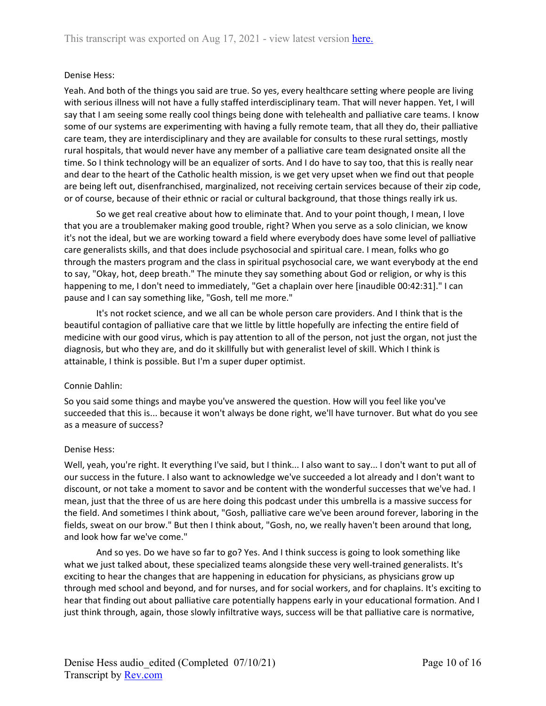### Denise Hess:

Yeah. And both of the things you said are true. So yes, every healthcare setting where people are living with serious illness will not have a fully staffed interdisciplinary team. That will never happen. Yet, I will say that I am seeing some really cool things being done with telehealth and palliative care teams. I know some of our systems are experimenting with having a fully remote team, that all they do, their palliative care team, they are interdisciplinary and they are available for consults to these rural settings, mostly rural hospitals, that would never have any member of a palliative care team designated onsite all the time. So I think technology will be an equalizer of sorts. And I do have to say too, that this is really near and dear to the heart of the Catholic health mission, is we get very upset when we find out that people are being left out, disenfranchised, marginalized, not receiving certain services because of their zip code, or of course, because of their ethnic or racial or cultural background, that those things really irk us.

So we get real creative about how to eliminate that. And to your point though, I mean, I love that you are a troublemaker making good trouble, right? When you serve as a solo clinician, we know it's not the ideal, but we are working toward a field where everybody does have some level of palliative care generalists skills, and that does include psychosocial and spiritual care. I mean, folks who go through the masters program and the class in spiritual psychosocial care, we want everybody at the end to say, "Okay, hot, deep breath." The minute they say something about God or religion, or why is this happening to me, I don't need to immediately, "Get a chaplain over here [inaudible 00:42:31]." I can pause and I can say something like, "Gosh, tell me more."

It's not rocket science, and we all can be whole person care providers. And I think that is the beautiful contagion of palliative care that we little by little hopefully are infecting the entire field of medicine with our good virus, which is pay attention to all of the person, not just the organ, not just the diagnosis, but who they are, and do it skillfully but with generalist level of skill. Which I think is attainable, I think is possible. But I'm a super duper optimist.

#### Connie Dahlin:

So you said some things and maybe you've answered the question. How will you feel like you've succeeded that this is... because it won't always be done right, we'll have turnover. But what do you see as a measure of success?

#### Denise Hess:

Well, yeah, you're right. It everything I've said, but I think... I also want to say... I don't want to put all of our success in the future. I also want to acknowledge we've succeeded a lot already and I don't want to discount, or not take a moment to savor and be content with the wonderful successes that we've had. I mean, just that the three of us are here doing this podcast under this umbrella is a massive success for the field. And sometimes I think about, "Gosh, palliative care we've been around forever, laboring in the fields, sweat on our brow." But then I think about, "Gosh, no, we really haven't been around that long, and look how far we've come."

And so yes. Do we have so far to go? Yes. And I think success is going to look something like what we just talked about, these specialized teams alongside these very well-trained generalists. It's exciting to hear the changes that are happening in education for physicians, as physicians grow up through med school and beyond, and for nurses, and for social workers, and for chaplains. It's exciting to hear that finding out about palliative care potentially happens early in your educational formation. And I just think through, again, those slowly infiltrative ways, success will be that palliative care is normative,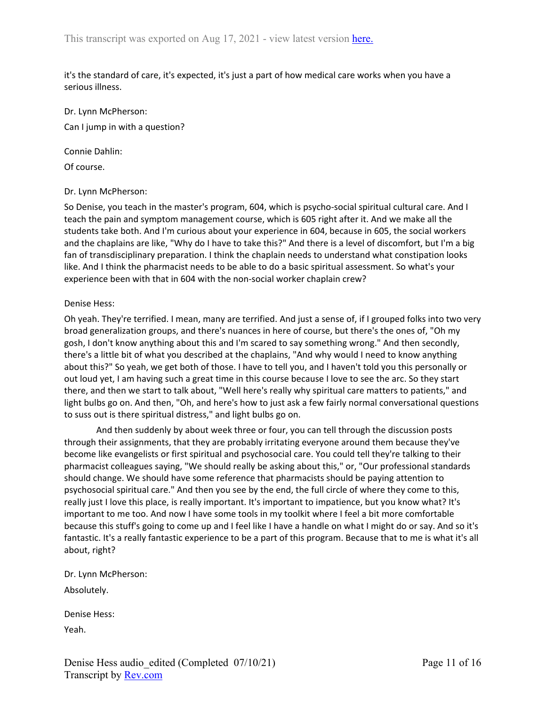it's the standard of care, it's expected, it's just a part of how medical care works when you have a serious illness.

Dr. Lynn McPherson: Can I jump in with a question?

Connie Dahlin:

Of course.

#### Dr. Lynn McPherson:

So Denise, you teach in the master's program, 604, which is psycho-social spiritual cultural care. And I teach the pain and symptom management course, which is 605 right after it. And we make all the students take both. And I'm curious about your experience in 604, because in 605, the social workers and the chaplains are like, "Why do I have to take this?" And there is a level of discomfort, but I'm a big fan of transdisciplinary preparation. I think the chaplain needs to understand what constipation looks like. And I think the pharmacist needs to be able to do a basic spiritual assessment. So what's your experience been with that in 604 with the non-social worker chaplain crew?

#### Denise Hess:

Oh yeah. They're terrified. I mean, many are terrified. And just a sense of, if I grouped folks into two very broad generalization groups, and there's nuances in here of course, but there's the ones of, "Oh my gosh, I don't know anything about this and I'm scared to say something wrong." And then secondly, there's a little bit of what you described at the chaplains, "And why would I need to know anything about this?" So yeah, we get both of those. I have to tell you, and I haven't told you this personally or out loud yet, I am having such a great time in this course because I love to see the arc. So they start there, and then we start to talk about, "Well here's really why spiritual care matters to patients," and light bulbs go on. And then, "Oh, and here's how to just ask a few fairly normal conversational questions to suss out is there spiritual distress," and light bulbs go on.

And then suddenly by about week three or four, you can tell through the discussion posts through their assignments, that they are probably irritating everyone around them because they've become like evangelists or first spiritual and psychosocial care. You could tell they're talking to their pharmacist colleagues saying, "We should really be asking about this," or, "Our professional standards should change. We should have some reference that pharmacists should be paying attention to psychosocial spiritual care." And then you see by the end, the full circle of where they come to this, really just I love this place, is really important. It's important to impatience, but you know what? It's important to me too. And now I have some tools in my toolkit where I feel a bit more comfortable because this stuff's going to come up and I feel like I have a handle on what I might do or say. And so it's fantastic. It's a really fantastic experience to be a part of this program. Because that to me is what it's all about, right?

Dr. Lynn McPherson:

Absolutely.

Denise Hess:

Yeah.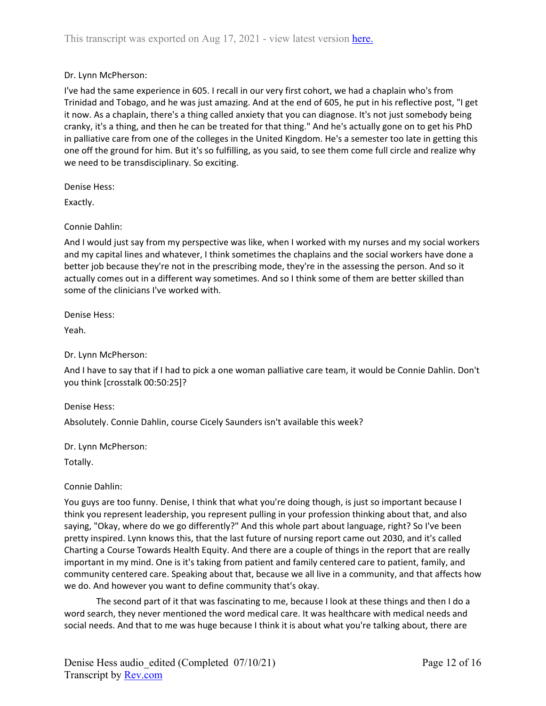## Dr. Lynn McPherson:

I've had the same experience in 605. I recall in our very first cohort, we had a chaplain who's from Trinidad and Tobago, and he was just amazing. And at the end of 605, he put in his reflective post, "I get it now. As a chaplain, there's a thing called anxiety that you can diagnose. It's not just somebody being cranky, it's a thing, and then he can be treated for that thing." And he's actually gone on to get his PhD in palliative care from one of the colleges in the United Kingdom. He's a semester too late in getting this one off the ground for him. But it's so fulfilling, as you said, to see them come full circle and realize why we need to be transdisciplinary. So exciting.

Denise Hess:

Exactly.

### Connie Dahlin:

And I would just say from my perspective was like, when I worked with my nurses and my social workers and my capital lines and whatever, I think sometimes the chaplains and the social workers have done a better job because they're not in the prescribing mode, they're in the assessing the person. And so it actually comes out in a different way sometimes. And so I think some of them are better skilled than some of the clinicians I've worked with.

Denise Hess:

Yeah.

Dr. Lynn McPherson:

And I have to say that if I had to pick a one woman palliative care team, it would be Connie Dahlin. Don't you think [crosstalk 00:50:25]?

Denise Hess:

Absolutely. Connie Dahlin, course Cicely Saunders isn't available this week?

Dr. Lynn McPherson:

Totally.

#### Connie Dahlin:

You guys are too funny. Denise, I think that what you're doing though, is just so important because I think you represent leadership, you represent pulling in your profession thinking about that, and also saying, "Okay, where do we go differently?" And this whole part about language, right? So I've been pretty inspired. Lynn knows this, that the last future of nursing report came out 2030, and it's called Charting a Course Towards Health Equity. And there are a couple of things in the report that are really important in my mind. One is it's taking from patient and family centered care to patient, family, and community centered care. Speaking about that, because we all live in a community, and that affects how we do. And however you want to define community that's okay.

The second part of it that was fascinating to me, because I look at these things and then I do a word search, they never mentioned the word medical care. It was healthcare with medical needs and social needs. And that to me was huge because I think it is about what you're talking about, there are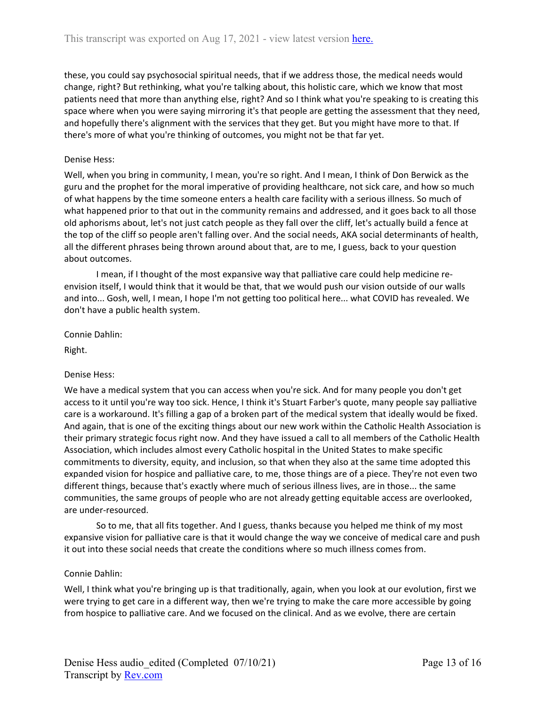these, you could say psychosocial spiritual needs, that if we address those, the medical needs would change, right? But rethinking, what you're talking about, this holistic care, which we know that most patients need that more than anything else, right? And so I think what you're speaking to is creating this space where when you were saying mirroring it's that people are getting the assessment that they need, and hopefully there's alignment with the services that they get. But you might have more to that. If there's more of what you're thinking of outcomes, you might not be that far yet.

### Denise Hess:

Well, when you bring in community, I mean, you're so right. And I mean, I think of Don Berwick as the guru and the prophet for the moral imperative of providing healthcare, not sick care, and how so much of what happens by the time someone enters a health care facility with a serious illness. So much of what happened prior to that out in the community remains and addressed, and it goes back to all those old aphorisms about, let's not just catch people as they fall over the cliff, let's actually build a fence at the top of the cliff so people aren't falling over. And the social needs, AKA social determinants of health, all the different phrases being thrown around about that, are to me, I guess, back to your question about outcomes.

I mean, if I thought of the most expansive way that palliative care could help medicine reenvision itself, I would think that it would be that, that we would push our vision outside of our walls and into... Gosh, well, I mean, I hope I'm not getting too political here... what COVID has revealed. We don't have a public health system.

Connie Dahlin:

Right.

# Denise Hess:

We have a medical system that you can access when you're sick. And for many people you don't get access to it until you're way too sick. Hence, I think it's Stuart Farber's quote, many people say palliative care is a workaround. It's filling a gap of a broken part of the medical system that ideally would be fixed. And again, that is one of the exciting things about our new work within the Catholic Health Association is their primary strategic focus right now. And they have issued a call to all members of the Catholic Health Association, which includes almost every Catholic hospital in the United States to make specific commitments to diversity, equity, and inclusion, so that when they also at the same time adopted this expanded vision for hospice and palliative care, to me, those things are of a piece. They're not even two different things, because that's exactly where much of serious illness lives, are in those... the same communities, the same groups of people who are not already getting equitable access are overlooked, are under-resourced.

So to me, that all fits together. And I guess, thanks because you helped me think of my most expansive vision for palliative care is that it would change the way we conceive of medical care and push it out into these social needs that create the conditions where so much illness comes from.

#### Connie Dahlin:

Well, I think what you're bringing up is that traditionally, again, when you look at our evolution, first we were trying to get care in a different way, then we're trying to make the care more accessible by going from hospice to palliative care. And we focused on the clinical. And as we evolve, there are certain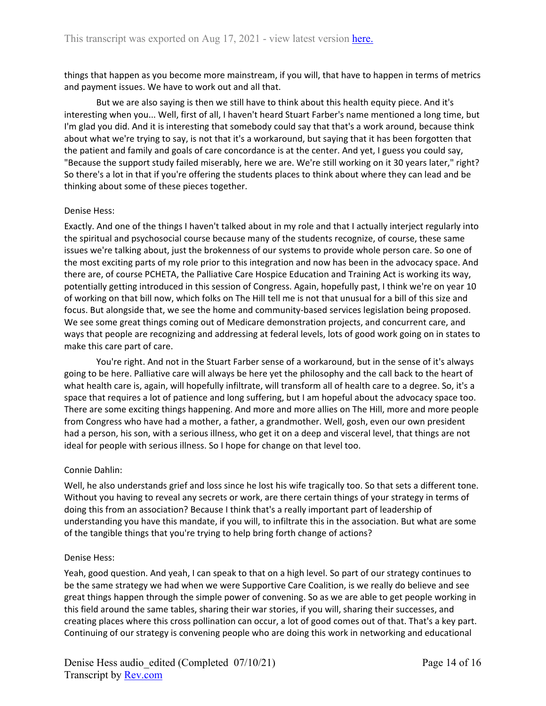things that happen as you become more mainstream, if you will, that have to happen in terms of metrics and payment issues. We have to work out and all that.

But we are also saying is then we still have to think about this health equity piece. And it's interesting when you... Well, first of all, I haven't heard Stuart Farber's name mentioned a long time, but I'm glad you did. And it is interesting that somebody could say that that's a work around, because think about what we're trying to say, is not that it's a workaround, but saying that it has been forgotten that the patient and family and goals of care concordance is at the center. And yet, I guess you could say, "Because the support study failed miserably, here we are. We're still working on it 30 years later," right? So there's a lot in that if you're offering the students places to think about where they can lead and be thinking about some of these pieces together.

#### Denise Hess:

Exactly. And one of the things I haven't talked about in my role and that I actually interject regularly into the spiritual and psychosocial course because many of the students recognize, of course, these same issues we're talking about, just the brokenness of our systems to provide whole person care. So one of the most exciting parts of my role prior to this integration and now has been in the advocacy space. And there are, of course PCHETA, the Palliative Care Hospice Education and Training Act is working its way, potentially getting introduced in this session of Congress. Again, hopefully past, I think we're on year 10 of working on that bill now, which folks on The Hill tell me is not that unusual for a bill of this size and focus. But alongside that, we see the home and community-based services legislation being proposed. We see some great things coming out of Medicare demonstration projects, and concurrent care, and ways that people are recognizing and addressing at federal levels, lots of good work going on in states to make this care part of care.

You're right. And not in the Stuart Farber sense of a workaround, but in the sense of it's always going to be here. Palliative care will always be here yet the philosophy and the call back to the heart of what health care is, again, will hopefully infiltrate, will transform all of health care to a degree. So, it's a space that requires a lot of patience and long suffering, but I am hopeful about the advocacy space too. There are some exciting things happening. And more and more allies on The Hill, more and more people from Congress who have had a mother, a father, a grandmother. Well, gosh, even our own president had a person, his son, with a serious illness, who get it on a deep and visceral level, that things are not ideal for people with serious illness. So I hope for change on that level too.

#### Connie Dahlin:

Well, he also understands grief and loss since he lost his wife tragically too. So that sets a different tone. Without you having to reveal any secrets or work, are there certain things of your strategy in terms of doing this from an association? Because I think that's a really important part of leadership of understanding you have this mandate, if you will, to infiltrate this in the association. But what are some of the tangible things that you're trying to help bring forth change of actions?

#### Denise Hess:

Yeah, good question. And yeah, I can speak to that on a high level. So part of our strategy continues to be the same strategy we had when we were Supportive Care Coalition, is we really do believe and see great things happen through the simple power of convening. So as we are able to get people working in this field around the same tables, sharing their war stories, if you will, sharing their successes, and creating places where this cross pollination can occur, a lot of good comes out of that. That's a key part. Continuing of our strategy is convening people who are doing this work in networking and educational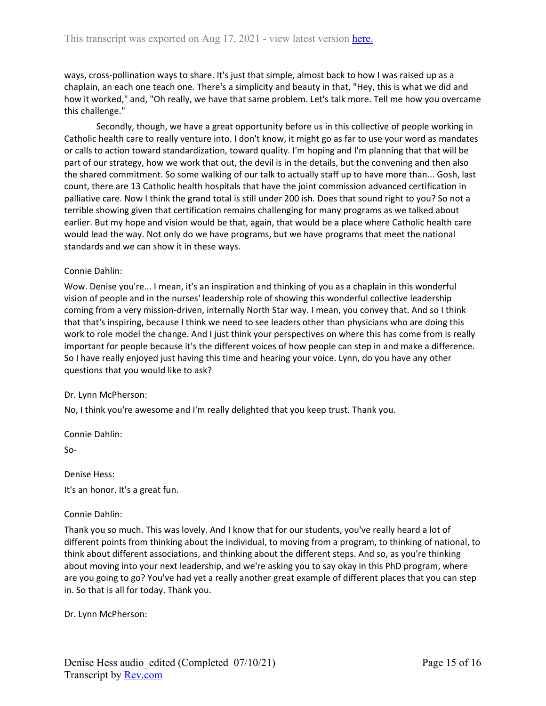ways, cross-pollination ways to share. It's just that simple, almost back to how I was raised up as a chaplain, an each one teach one. There's a simplicity and beauty in that, "Hey, this is what we did and how it worked," and, "Oh really, we have that same problem. Let's talk more. Tell me how you overcame this challenge."

Secondly, though, we have a great opportunity before us in this collective of people working in Catholic health care to really venture into. I don't know, it might go as far to use your word as mandates or calls to action toward standardization, toward quality. I'm hoping and I'm planning that that will be part of our strategy, how we work that out, the devil is in the details, but the convening and then also the shared commitment. So some walking of our talk to actually staff up to have more than... Gosh, last count, there are 13 Catholic health hospitals that have the joint commission advanced certification in palliative care. Now I think the grand total is still under 200 ish. Does that sound right to you? So not a terrible showing given that certification remains challenging for many programs as we talked about earlier. But my hope and vision would be that, again, that would be a place where Catholic health care would lead the way. Not only do we have programs, but we have programs that meet the national standards and we can show it in these ways.

#### Connie Dahlin:

Wow. Denise you're... I mean, it's an inspiration and thinking of you as a chaplain in this wonderful vision of people and in the nurses' leadership role of showing this wonderful collective leadership coming from a very mission-driven, internally North Star way. I mean, you convey that. And so I think that that's inspiring, because I think we need to see leaders other than physicians who are doing this work to role model the change. And I just think your perspectives on where this has come from is really important for people because it's the different voices of how people can step in and make a difference. So I have really enjoyed just having this time and hearing your voice. Lynn, do you have any other questions that you would like to ask?

#### Dr. Lynn McPherson:

No, I think you're awesome and I'm really delighted that you keep trust. Thank you.

Connie Dahlin:

So-

Denise Hess:

It's an honor. It's a great fun.

#### Connie Dahlin:

Thank you so much. This was lovely. And I know that for our students, you've really heard a lot of different points from thinking about the individual, to moving from a program, to thinking of national, to think about different associations, and thinking about the different steps. And so, as you're thinking about moving into your next leadership, and we're asking you to say okay in this PhD program, where are you going to go? You've had yet a really another great example of different places that you can step in. So that is all for today. Thank you.

Dr. Lynn McPherson: